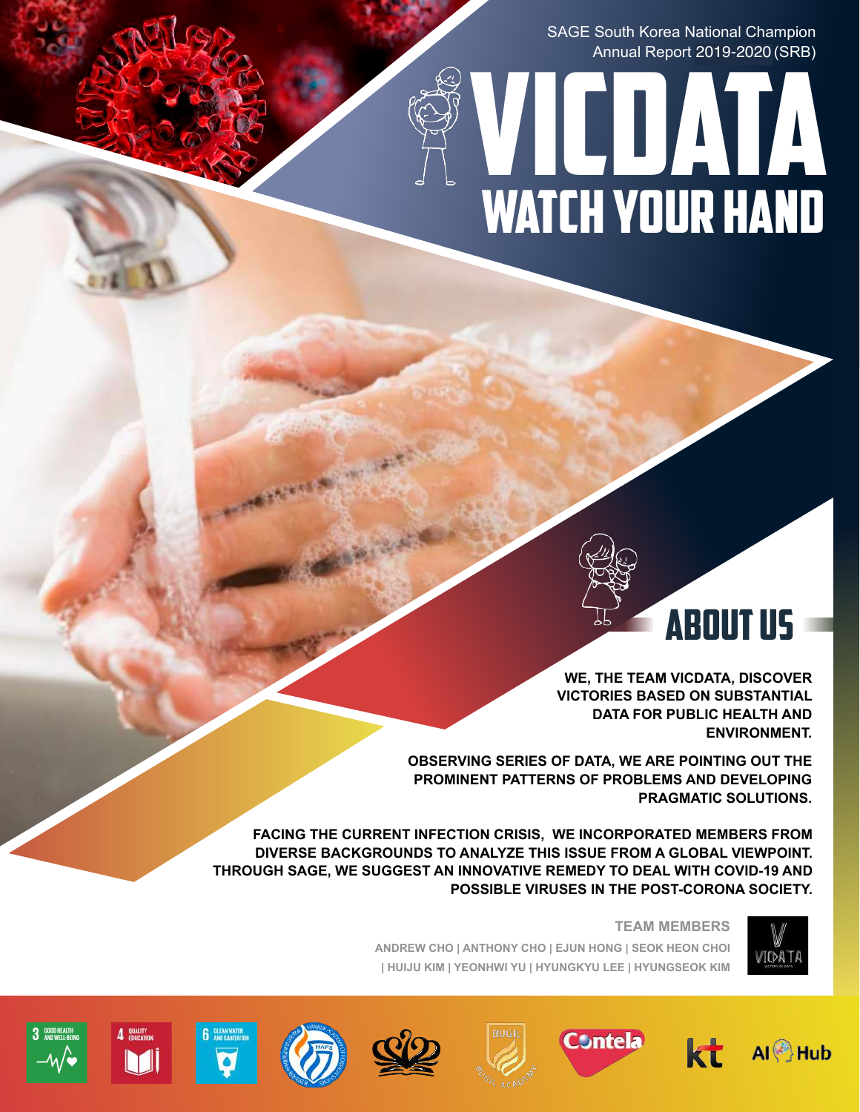SAGE South Korea National Champion Annual Report 2019-2020 (SRB)

# \ VICDATA WATCH YOUR HAND



**WE, THE TEAM VICDATA, DISCOVER VICTORIES BASED ON SUBSTANTIAL DATA FOR PUBLIC HEALTH AND ENVIRONMENT.** 

**OBSERVING SERIES OF DATA, WE ARE POINTING OUT THE PROMINENT PATTERNS OF PROBLEMS AND DEVELOPING PRAGMATIC SOLUTIONS.** 

**FACING THE CURRENT INFECTION CRISIS, WE INCORPORATED MEMBERS FROM DIVERSE BACKGROUNDS TO ANALYZE THIS ISSUE FROM A GLOBAL VIEWPOINT. THROUGH SAGE, WE SUGGEST AN INNOVATIVE REMEDY TO DEAL WITH COVID-19 AND POSSIBLE VIRUSES IN THE POST-CORONA SOCIETY.** 



**TEAM MEMBERS** 

**ANDREW CHO | ANTHONY CHO | EJUN HONG | SEOK HEON CHOI | HUIJU KIM | YEONHWI YU | HYUNGKYU LEE | HYUNGSEOK KIM** 













 $\Delta$  GUALITY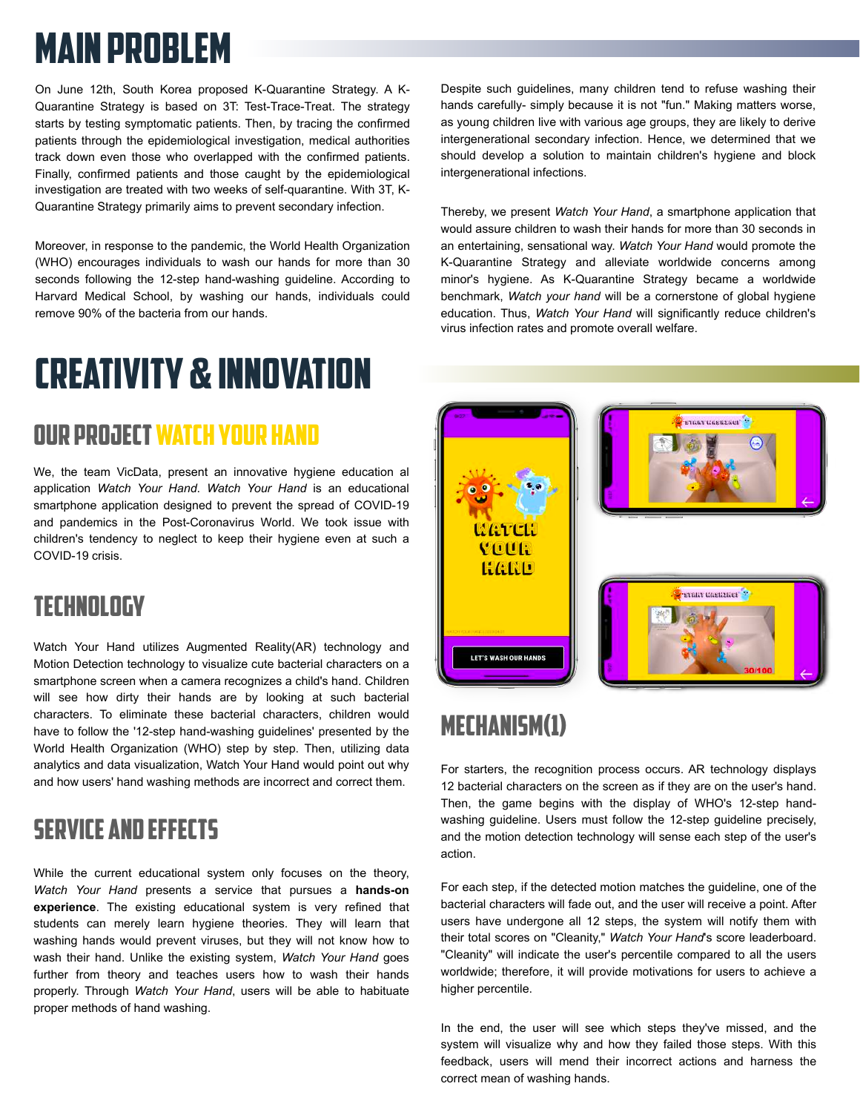# MAIN PROBLEM

On June 12th, South Korea proposed K-Quarantine Strategy. A K-Quarantine Strategy is based on 3T: Test-Trace-Treat. The strategy starts by testing symptomatic patients. Then, by tracing the confirmed patients through the epidemiological investigation, medical authorities track down even those who overlapped with the confirmed patients. Finally, confirmed patients and those caught by the epidemiological investigation are treated with two weeks of self-quarantine. With 3T, K-Quarantine Strategy primarily aims to prevent secondary infection.

Moreover, in response to the pandemic, the World Health Organization (WHO) encourages individuals to wash our hands for more than 30 seconds following the 12-step hand-washing guideline. According to Harvard Medical School, by washing our hands, individuals could remove 90% of the bacteria from our hands.

# Creativity & Innovation

#### oUR PROJECT watch your hand

We, the team VicData, present an innovative hygiene education al application *Watch Your Hand*. *Watch Your Hand* is an educational smartphone application designed to prevent the spread of COVID-19 and pandemics in the Post-Coronavirus World. We took issue with children's tendency to neglect to keep their hygiene even at such a COVID-19 crisis.

#### technology

Watch Your Hand utilizes Augmented Reality(AR) technology and Motion Detection technology to visualize cute bacterial characters on a smartphone screen when a camera recognizes a child's hand. Children will see how dirty their hands are by looking at such bacterial characters. To eliminate these bacterial characters, children would have to follow the '12-step hand-washing guidelines' presented by the World Health Organization (WHO) step by step. Then, utilizing data analytics and data visualization, Watch Your Hand would point out why and how users' hand washing methods are incorrect and correct them.

#### er i service and effects

wash their hand. Onlike the existing system, *watch Your Hand* goes<br>further from theory and teaches users how to wash their hands & properly. Through *Watch Your Hand*, users will be able to habituate While the current educational system only focuses on the theory, *Watch Your Hand* presents a service that pursues a **hands-on experience**. The existing educational system is very refined that students can merely learn hygiene theories. They will learn that washing hands would prevent viruses, but they will not know how to wash their hand. Unlike the existing system, *Watch Your Hand* goes proper methods of hand washing.

Despite such guidelines, many children tend to refuse washing their hands carefully- simply because it is not "fun." Making matters worse, as young children live with various age groups, they are likely to derive intergenerational secondary infection. Hence, we determined that we should develop a solution to maintain children's hygiene and block intergenerational infections.

Thereby, we present *Watch Your Hand*, a smartphone application that would assure children to wash their hands for more than 30 seconds in an entertaining, sensational way. *Watch Your Hand* would promote the K-Quarantine Strategy and alleviate worldwide concerns among minor's hygiene. As K-Quarantine Strategy became a worldwide benchmark, *Watch your hand* will be a cornerstone of global hygiene education. Thus, *Watch Your Hand* will significantly reduce children's virus infection rates and promote overall welfare.



# mechanism(1)

For starters, the recognition process occurs. AR technology displays 12 bacterial characters on the screen as if they are on the user's hand. Then, the game begins with the display of WHO's 12-step handwashing guideline. Users must follow the 12-step guideline precisely, and the motion detection technology will sense each step of the user's action.

For each step, if the detected motion matches the guideline, one of the bacterial characters will fade out, and the user will receive a point. After users have undergone all 12 steps, the system will notify them with their total scores on "Cleanity," *Watch Your Hand*'s score leaderboard. "Cleanity" will indicate the user's percentile compared to all the users worldwide; therefore, it will provide motivations for users to achieve a higher percentile.

In the end, the user will see which steps they've missed, and the system will visualize why and how they failed those steps. With this feedback, users will mend their incorrect actions and harness the correct mean of washing hands.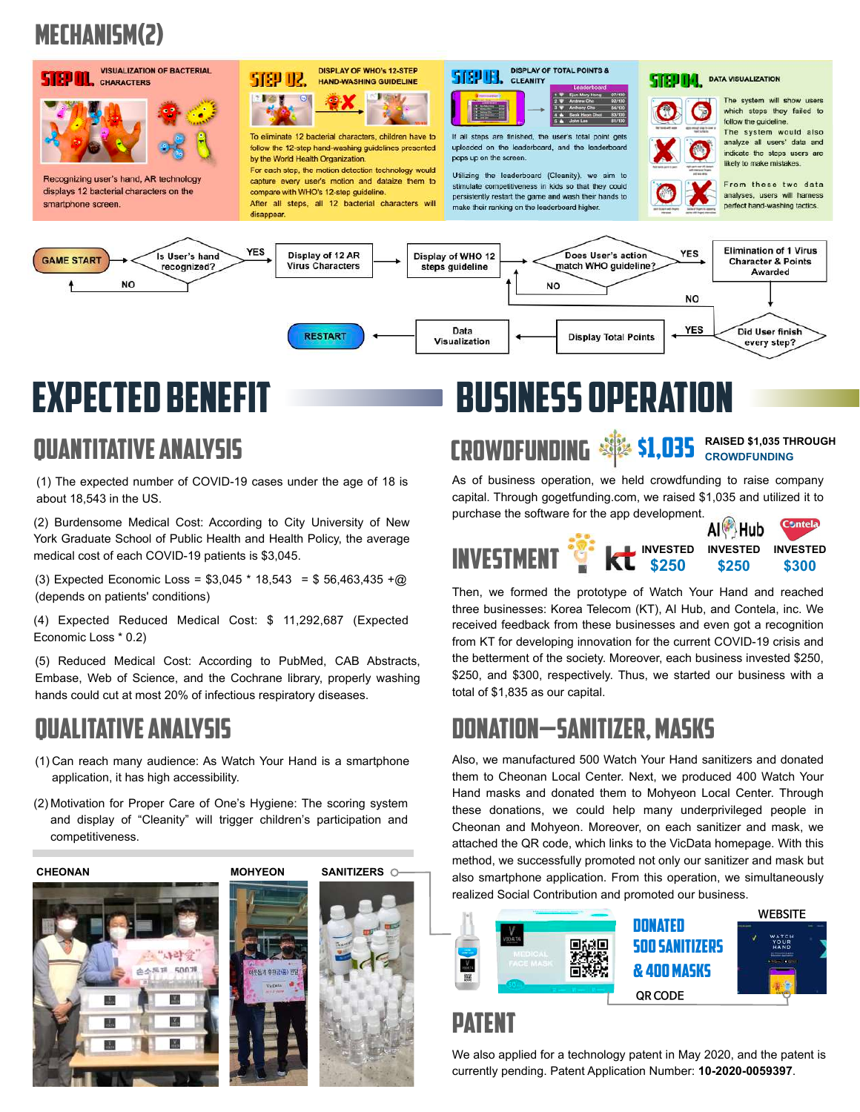# mechanism(2)



Visualization

**RESTART** 

# Expected benefit

# quantitative analysis

(1) The expected number of COVID-19 cases under the age of 18 is about 18,543 in the US.

(2) Burdensome Medical Cost: According to City University of New York Graduate School of Public Health and Health Policy, the average medical cost of each COVID-19 patients is \$3,045.

(3) Expected Economic Loss = \$3,045 \* 18,543 = \$ 56,463,435 +@ (depends on patients' conditions)

(4) Expected Reduced Medical Cost: \$ 11,292,687 (Expected Economic Loss \* 0.2)

(5) Reduced Medical Cost: According to PubMed, CAB Abstracts, Embase, Web of Science, and the Cochrane library, properly washing hands could cut at most 20% of infectious respiratory diseases.

## qualitative analysis

- (1) Can reach many audience: As Watch Your Hand is a smartphone application, it has high accessibility.
- (2) Motivation for Proper Care of One's Hygiene: The scoring system and display of "Cleanity" will trigger children's participation and competitiveness.



# Business operation

**Display Total Points** 

# crowdfunding \$1,035 **RAISED \$1,035 THROUGH CROWDFUNDING**

As of business operation, we held crowdfunding to raise company capital. Through gogetfunding.com, we raised \$1,035 and utilized it to purchase the software for the app development.

every step?



Then, we formed the prototype of Watch Your Hand and reached three businesses: Korea Telecom (KT), AI Hub, and Contela, inc. We received feedback from these businesses and even got a recognition from KT for developing innovation for the current COVID-19 crisis and the betterment of the society. Moreover, each business invested \$250, \$250, and \$300, respectively. Thus, we started our business with a total of \$1,835 as our capital.

## donation—sanitizer, masks

Also, we manufactured 500 Watch Your Hand sanitizers and donated them to Cheonan Local Center. Next, we produced 400 Watch Your Hand masks and donated them to Mohyeon Local Center. Through these donations, we could help many underprivileged people in Cheonan and Mohyeon. Moreover, on each sanitizer and mask, we attached the QR code, which links to the VicData homepage. With this method, we successfully promoted not only our sanitizer and mask but also smartphone application. From this operation, we simultaneously realized Social Contribution and promoted our business.



#### patent

We also applied for a technology patent in May 2020, and the patent is currently pending. Patent Application Number: **10-2020-0059397**.